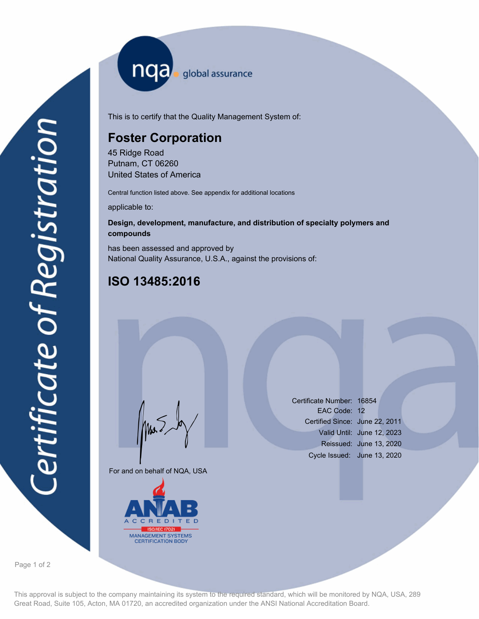nqa <sub>global assurance</sub>

This is to certify that the Quality Management System of:

# **Foster Corporation**

45 Ridge Road Putnam, CT 06260 United States of America

Central function listed above. See appendix for additional locations

applicable to:

### **Design, development, manufacture, and distribution of specialty polymers and compounds**

has been assessed and approved by National Quality Assurance, U.S.A., against the provisions of:

## **ISO 13485:2016**

For and on behalf of NQA, USA

Mus



Certificate Number: 16854 EAC Code: 12 Certified Since: June 22, 2011 Valid Until: June 12, 2023 Reissued: June 13, 2020 Cycle Issued: June 13, 2020

Page 1 of 2

This approval is subject to the company maintaining its system to the required standard, which will be monitored by NQA, USA, 289 Great Road, Suite 105, Acton, MA 01720, an accredited organization under the ANSI National Accreditation Board.